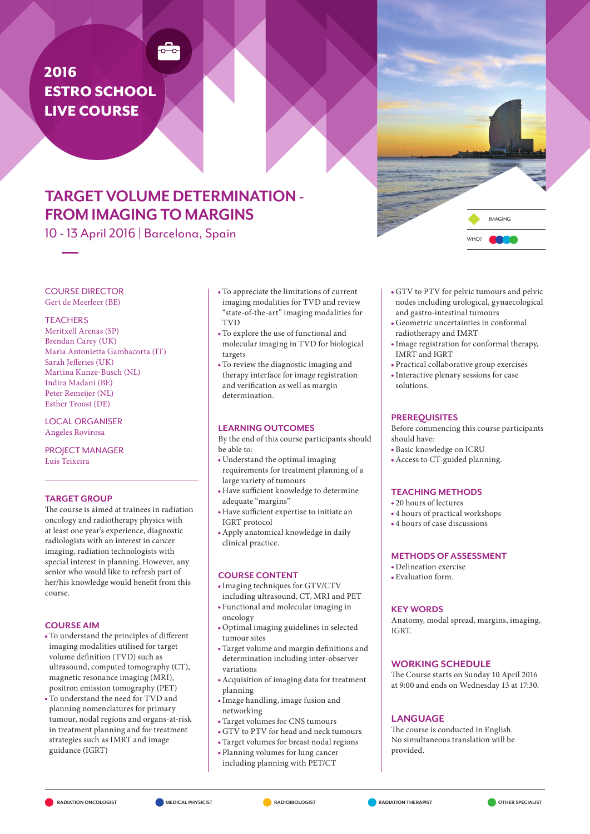# 2016 **ESTRO SCHOOL** Live Course

## Target volume determination - **FROM IMAGING TO MARGINS**

 $\frac{1}{\sigma - \sigma}$ 

10 - 13 April 2016 | Barcelona, Spain



Course director Gert de Meerleer (BE)

#### **TEACHERS**

Meritxell Arenas (SP) Brendan Carey (UK) Maria Antonietta Gambacorta (IT) Sarah Jefferies (UK) Martina Kunze-Busch (NL) Indira Madani (BE) Peter Remeijer (NL) Esther Troost (DE)

Local Organiser Angeles Rovirosa

Project Manager Luis Teixeira

## Target Group

The course is aimed at trainees in radiation oncology and radiotherapy physics with at least one year's experience, diagnostic radiologists with an interest in cancer imaging, radiation technologists with special interest in planning. However, any senior who would like to refresh part of her/his knowledge would benefit from this course.

### Course aim

- To understand the principles of different imaging modalities utilised for target volume definition (TVD) such as ultrasound, computed tomography (CT), magnetic resonance imaging (MRI), positron emission tomography (PET)
- To understand the need for TVD and planning nomenclatures for primary tumour, nodal regions and organs-at-risk in treatment planning and for treatment strategies such as IMRT and image guidance (IGRT)
- To appreciate the limitations of current imaging modalities for TVD and review "state-of-the-art" imaging modalities for **TVD**
- To explore the use of functional and molecular imaging in TVD for biological targets
- To review the diagnostic imaging and therapy interface for image registration and verification as well as margin determination.

## Learning Outcomes

By the end of this course participants should be able to:

- Understand the optimal imaging requirements for treatment planning of a large variety of tumours
- Have sufficient knowledge to determine adequate "margins"
- Have sufficient expertise to initiate an IGRT protocol
- Apply anatomical knowledge in daily clinical practice.

#### Course content

Imaging techniques for GTV/CTV

- including ultrasound, CT, MRI and PET Functional and molecular imaging in
- oncology
- Optimal imaging guidelines in selected tumour sites
- Target volume and margin definitions and determination including inter-observer variations
- Acquisition of imaging data for treatment planning
- Image handling, image fusion and networking
- Target volumes for CNS tumours
- GTV to PTV for head and neck tumours
- Target volumes for breast nodal regions
- Planning volumes for lung cancer including planning with PET/CT
- GTV to PTV for pelvic tumours and pelvic nodes including urological, gynaecological and gastro-intestinal tumours
- Geometric uncertainties in conformal radiotherapy and IMRT
- Image registration for conformal therapy, IMRT and IGRT
- Practical collaborative group exercises Interactive plenary sessions for case solutions.

## **PREREQUISITES**

Before commencing this course participants should have:

- Basic knowledge on ICRU
- Access to CT-guided planning.

#### Teaching methods

- 20 hours of lectures
- 4 hours of practical workshops
- 4 hours of case discussions

### Methods of assessment

- Delineation exercise
- Evaluation form.

### **KEY WORDS**

Anatomy, modal spread, margins, imaging, IGRT.

### WORKING SCHEDULE

The Course starts on Sunday 10 April 2016 at 9:00 and ends on Wednesday 13 at 17:30.

## **LANGUAGE**

The course is conducted in English. No simultaneous translation will be provided.